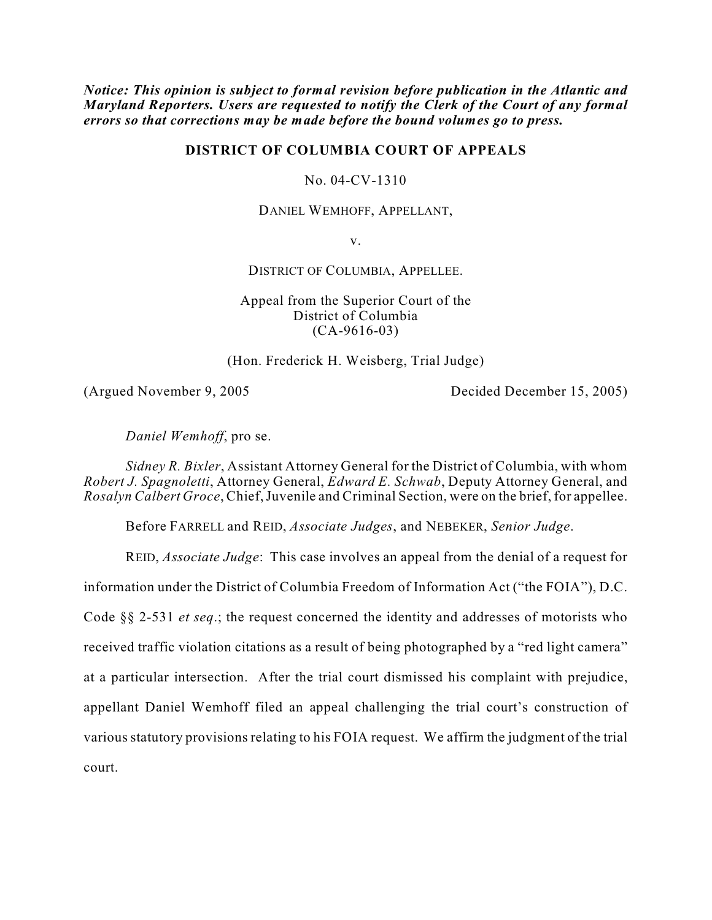*Notice: This opinion is subject to formal revision before publication in the Atlantic and Maryland Reporters. Users are requested to notify the Clerk of the Court of any formal errors so that corrections may be made before the bound volumes go to press.*

## **DISTRICT OF COLUMBIA COURT OF APPEALS**

No. 04-CV-1310

DANIEL WEMHOFF, APPELLANT,

v.

DISTRICT OF COLUMBIA, APPELLEE.

Appeal from the Superior Court of the District of Columbia (CA-9616-03)

(Hon. Frederick H. Weisberg, Trial Judge)

(Argued November 9, 2005 Decided December 15, 2005)

*Daniel Wemhoff*, pro se.

*Sidney R. Bixler*, Assistant Attorney General for the District of Columbia, with whom *Robert J. Spagnoletti*, Attorney General, *Edward E. Schwab*, Deputy Attorney General, and *Rosalyn Calbert Groce*, Chief, Juvenile and Criminal Section, were on the brief, for appellee.

Before FARRELL and REID, *Associate Judges*, and NEBEKER, *Senior Judge*.

REID, *Associate Judge*: This case involves an appeal from the denial of a request for information under the District of Columbia Freedom of Information Act ("the FOIA"), D.C. Code §§ 2-531 *et seq*.; the request concerned the identity and addresses of motorists who received traffic violation citations as a result of being photographed by a "red light camera" at a particular intersection. After the trial court dismissed his complaint with prejudice, appellant Daniel Wemhoff filed an appeal challenging the trial court's construction of various statutory provisions relating to his FOIA request. We affirm the judgment of the trial court.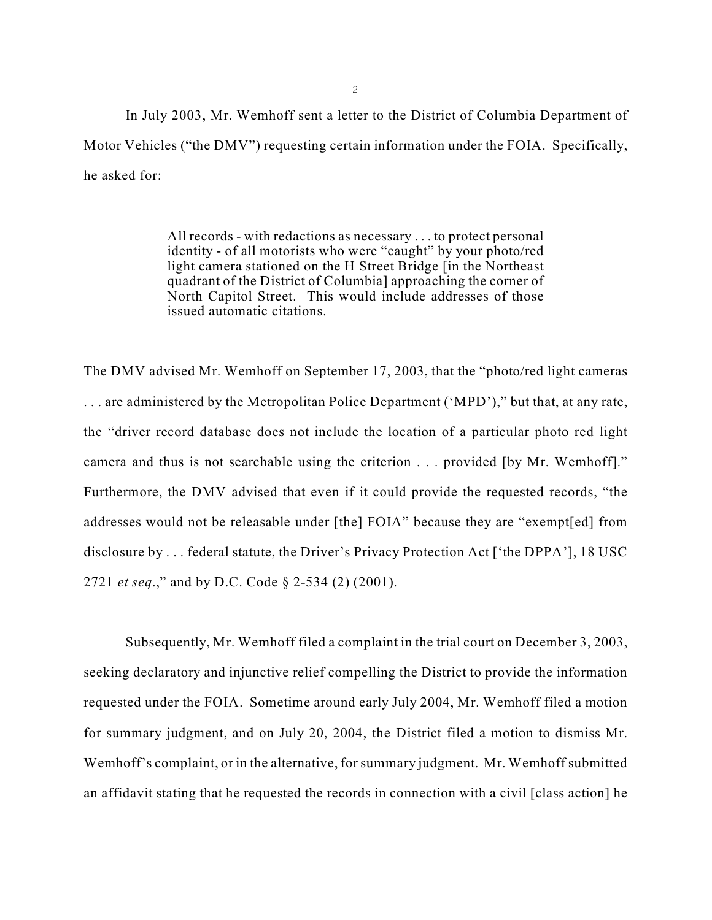In July 2003, Mr. Wemhoff sent a letter to the District of Columbia Department of Motor Vehicles ("the DMV") requesting certain information under the FOIA. Specifically, he asked for:

> All records - with redactions as necessary . . . to protect personal identity - of all motorists who were "caught" by your photo/red light camera stationed on the H Street Bridge [in the Northeast quadrant of the District of Columbia] approaching the corner of North Capitol Street. This would include addresses of those issued automatic citations.

The DMV advised Mr. Wemhoff on September 17, 2003, that the "photo/red light cameras . . . are administered by the Metropolitan Police Department ('MPD')," but that, at any rate, the "driver record database does not include the location of a particular photo red light camera and thus is not searchable using the criterion . . . provided [by Mr. Wemhoff]." Furthermore, the DMV advised that even if it could provide the requested records, "the addresses would not be releasable under [the] FOIA" because they are "exempt[ed] from disclosure by . . . federal statute, the Driver's Privacy Protection Act ['the DPPA'], 18 USC 2721 *et seq*.," and by D.C. Code § 2-534 (2) (2001).

Subsequently, Mr. Wemhoff filed a complaint in the trial court on December 3, 2003, seeking declaratory and injunctive relief compelling the District to provide the information requested under the FOIA. Sometime around early July 2004, Mr. Wemhoff filed a motion for summary judgment, and on July 20, 2004, the District filed a motion to dismiss Mr. Wemhoff's complaint, or in the alternative, for summary judgment. Mr. Wemhoff submitted an affidavit stating that he requested the records in connection with a civil [class action] he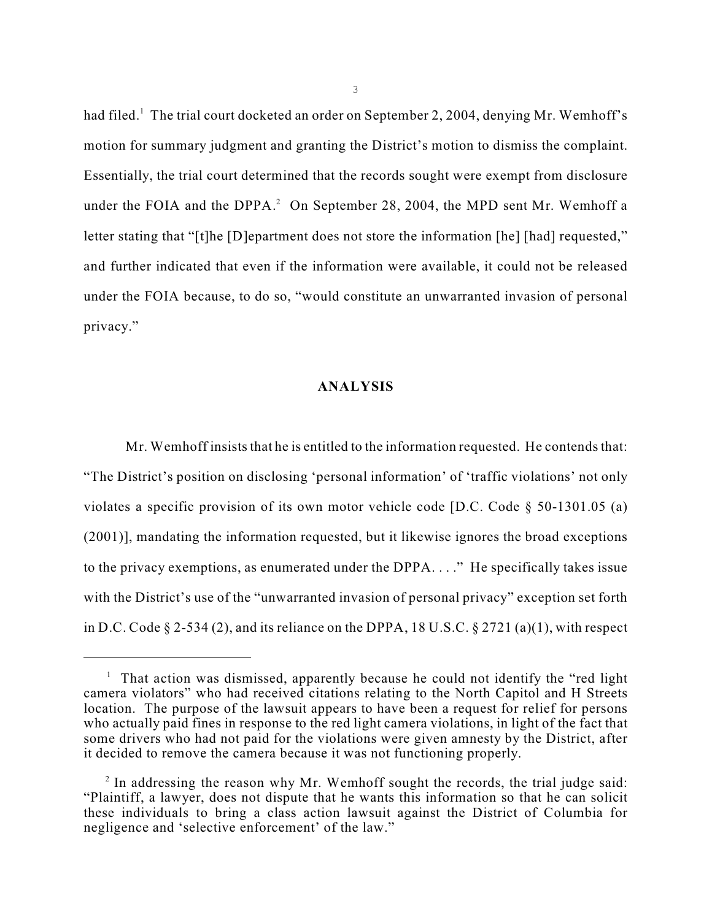had filed.<sup>1</sup> The trial court docketed an order on September 2, 2004, denying Mr. Wemhoff's motion for summary judgment and granting the District's motion to dismiss the complaint. Essentially, the trial court determined that the records sought were exempt from disclosure under the FOIA and the DPPA. $^2$  On September 28, 2004, the MPD sent Mr. Wemhoff a letter stating that "[t]he [D]epartment does not store the information [he] [had] requested," and further indicated that even if the information were available, it could not be released under the FOIA because, to do so, "would constitute an unwarranted invasion of personal privacy."

## **ANALYSIS**

Mr. Wemhoff insists that he is entitled to the information requested. He contends that: "The District's position on disclosing 'personal information' of 'traffic violations' not only violates a specific provision of its own motor vehicle code [D.C. Code § 50-1301.05 (a) (2001)], mandating the information requested, but it likewise ignores the broad exceptions to the privacy exemptions, as enumerated under the DPPA. . . ." He specifically takes issue with the District's use of the "unwarranted invasion of personal privacy" exception set forth in D.C. Code  $\S 2-534$  (2), and its reliance on the DPPA, 18 U.S.C.  $\S 2721$  (a)(1), with respect

 $<sup>1</sup>$  That action was dismissed, apparently because he could not identify the "red light</sup> camera violators" who had received citations relating to the North Capitol and H Streets location. The purpose of the lawsuit appears to have been a request for relief for persons who actually paid fines in response to the red light camera violations, in light of the fact that some drivers who had not paid for the violations were given amnesty by the District, after it decided to remove the camera because it was not functioning properly.

 $\mu$ <sup>2</sup> In addressing the reason why Mr. Wemhoff sought the records, the trial judge said: "Plaintiff, a lawyer, does not dispute that he wants this information so that he can solicit these individuals to bring a class action lawsuit against the District of Columbia for negligence and 'selective enforcement' of the law."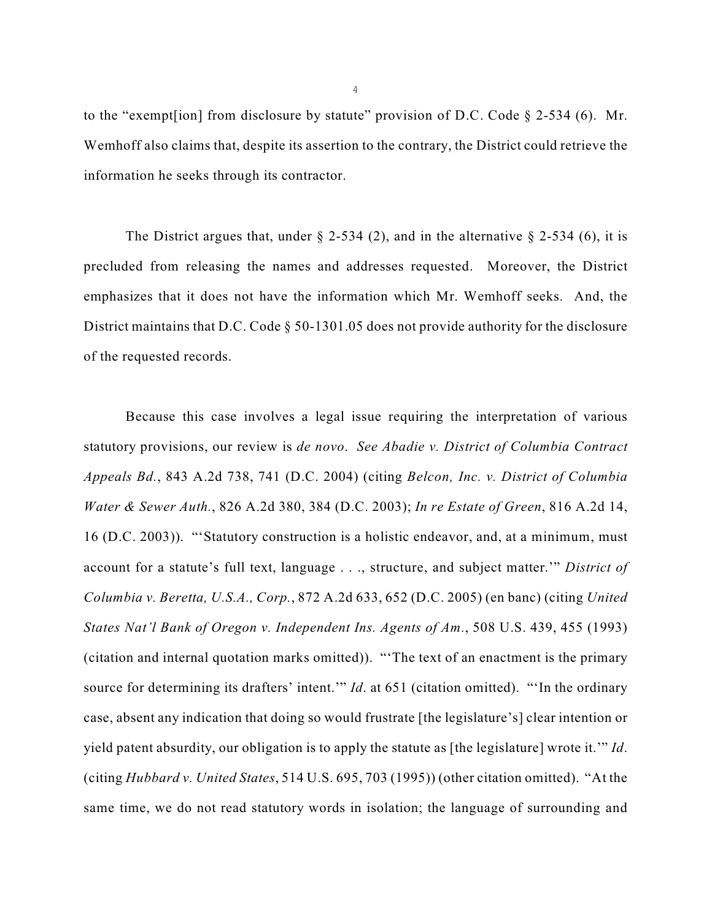to the "exempt [ion] from disclosure by statute" provision of D.C. Code  $\S$  2-534 (6). Mr. Wemhoff also claims that, despite its assertion to the contrary, the District could retrieve the information he seeks through its contractor.

The District argues that, under  $\S$  2-534 (2), and in the alternative  $\S$  2-534 (6), it is precluded from releasing the names and addresses requested. Moreover, the District emphasizes that it does not have the information which Mr. Wemhoff seeks. And, the District maintains that D.C. Code § 50-1301.05 does not provide authority for the disclosure of the requested records.

Because this case involves a legal issue requiring the interpretation of various statutory provisions, our review is *de novo*. *See Abadie v. District of Columbia Contract Appeals Bd.*, 843 A.2d 738, 741 (D.C. 2004) (citing *Belcon, Inc. v. District of Columbia Water & Sewer Auth.*, 826 A.2d 380, 384 (D.C. 2003); *In re Estate of Green*, 816 A.2d 14, 16 (D.C. 2003)). "'Statutory construction is a holistic endeavor, and, at a minimum, must account for a statute's full text, language . . ., structure, and subject matter.'" *District of Columbia v. Beretta, U.S.A., Corp.*, 872 A.2d 633, 652 (D.C. 2005) (en banc) (citing *United States Nat'l Bank of Oregon v. Independent Ins. Agents of Am.*, 508 U.S. 439, 455 (1993) (citation and internal quotation marks omitted)). "'The text of an enactment is the primary source for determining its drafters' intent.'" *Id*. at 651 (citation omitted). "'In the ordinary case, absent any indication that doing so would frustrate [the legislature's] clear intention or yield patent absurdity, our obligation is to apply the statute as [the legislature] wrote it.'" *Id*. (citing *Hubbard v. United States*, 514 U.S. 695, 703 (1995)) (other citation omitted). "At the same time, we do not read statutory words in isolation; the language of surrounding and

4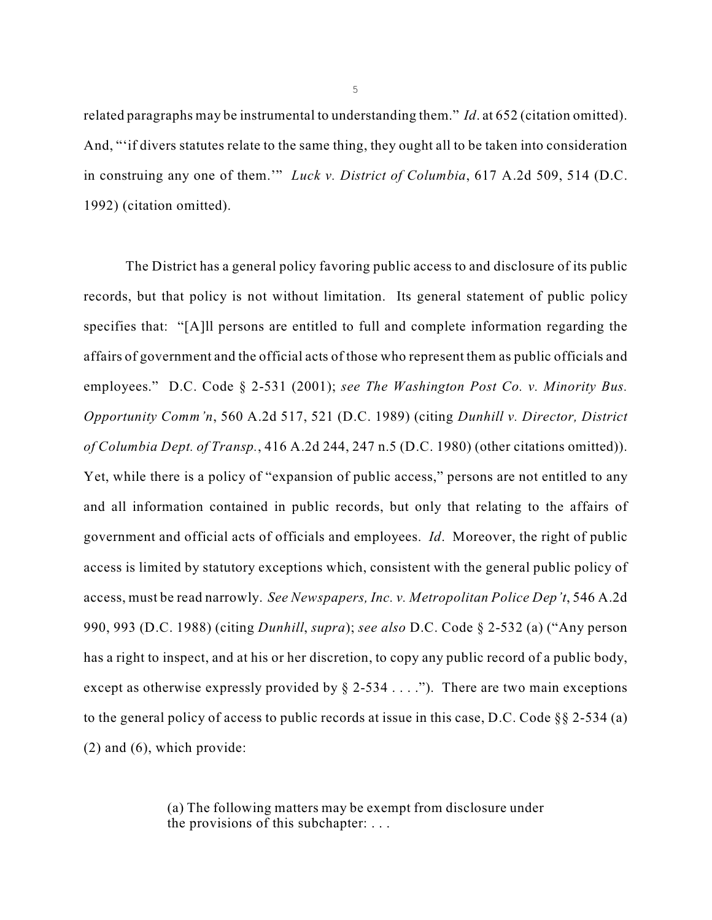related paragraphs may be instrumental to understanding them." *Id*. at 652 (citation omitted). And, "'if divers statutes relate to the same thing, they ought all to be taken into consideration in construing any one of them.'" *Luck v. District of Columbia*, 617 A.2d 509, 514 (D.C. 1992) (citation omitted).

The District has a general policy favoring public access to and disclosure of its public records, but that policy is not without limitation. Its general statement of public policy specifies that: "[A]ll persons are entitled to full and complete information regarding the affairs of government and the official acts of those who represent them as public officials and employees." D.C. Code § 2-531 (2001); *see The Washington Post Co. v. Minority Bus. Opportunity Comm'n*, 560 A.2d 517, 521 (D.C. 1989) (citing *Dunhill v. Director, District of Columbia Dept. of Transp.*, 416 A.2d 244, 247 n.5 (D.C. 1980) (other citations omitted)). Yet, while there is a policy of "expansion of public access," persons are not entitled to any and all information contained in public records, but only that relating to the affairs of government and official acts of officials and employees. *Id*. Moreover, the right of public access is limited by statutory exceptions which, consistent with the general public policy of access, must be read narrowly. *See Newspapers, Inc. v. Metropolitan Police Dep't*, 546 A.2d 990, 993 (D.C. 1988) (citing *Dunhill*, *supra*); *see also* D.C. Code § 2-532 (a) ("Any person has a right to inspect, and at his or her discretion, to copy any public record of a public body, except as otherwise expressly provided by  $\S$  2-534 . . . ."). There are two main exceptions to the general policy of access to public records at issue in this case, D.C. Code  $\S$ § 2-534 (a) (2) and (6), which provide:

> (a) The following matters may be exempt from disclosure under the provisions of this subchapter: . . .

5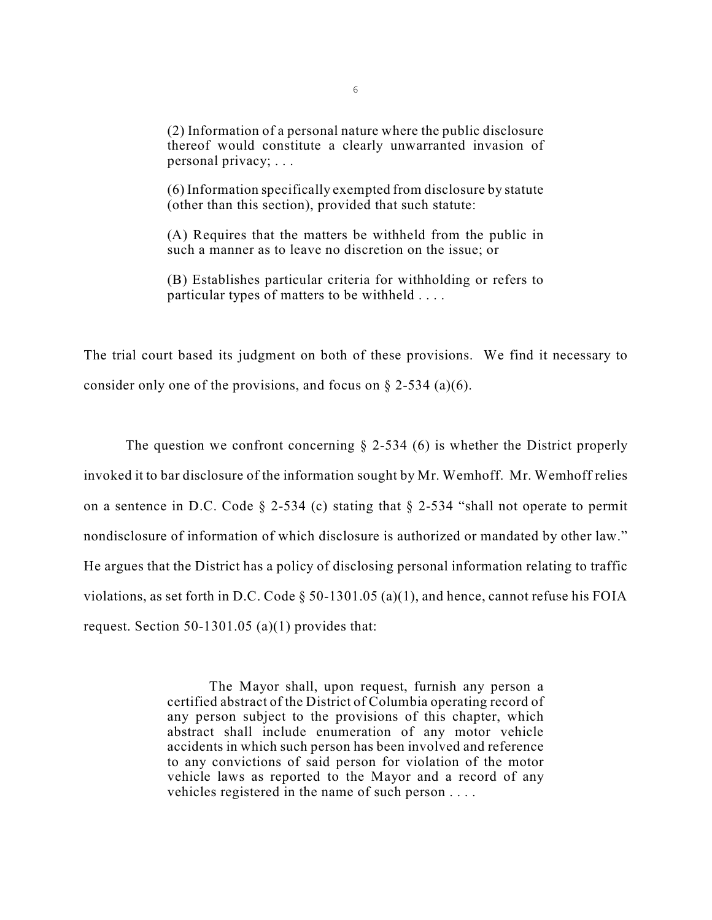(2) Information of a personal nature where the public disclosure thereof would constitute a clearly unwarranted invasion of personal privacy; . . .

(6) Information specifically exempted from disclosure by statute (other than this section), provided that such statute:

(A) Requires that the matters be withheld from the public in such a manner as to leave no discretion on the issue; or

(B) Establishes particular criteria for withholding or refers to particular types of matters to be withheld . . . .

The trial court based its judgment on both of these provisions. We find it necessary to consider only one of the provisions, and focus on  $\S$  2-534 (a)(6).

The question we confront concerning  $\S$  2-534 (6) is whether the District properly invoked it to bar disclosure of the information sought by Mr. Wemhoff. Mr. Wemhoff relies on a sentence in D.C. Code  $\S$  2-534 (c) stating that  $\S$  2-534 "shall not operate to permit nondisclosure of information of which disclosure is authorized or mandated by other law." He argues that the District has a policy of disclosing personal information relating to traffic violations, as set forth in D.C. Code  $\S$  50-1301.05 (a)(1), and hence, cannot refuse his FOIA request. Section 50-1301.05 (a)(1) provides that:

> The Mayor shall, upon request, furnish any person a certified abstract of the District of Columbia operating record of any person subject to the provisions of this chapter, which abstract shall include enumeration of any motor vehicle accidents in which such person has been involved and reference to any convictions of said person for violation of the motor vehicle laws as reported to the Mayor and a record of any vehicles registered in the name of such person . . . .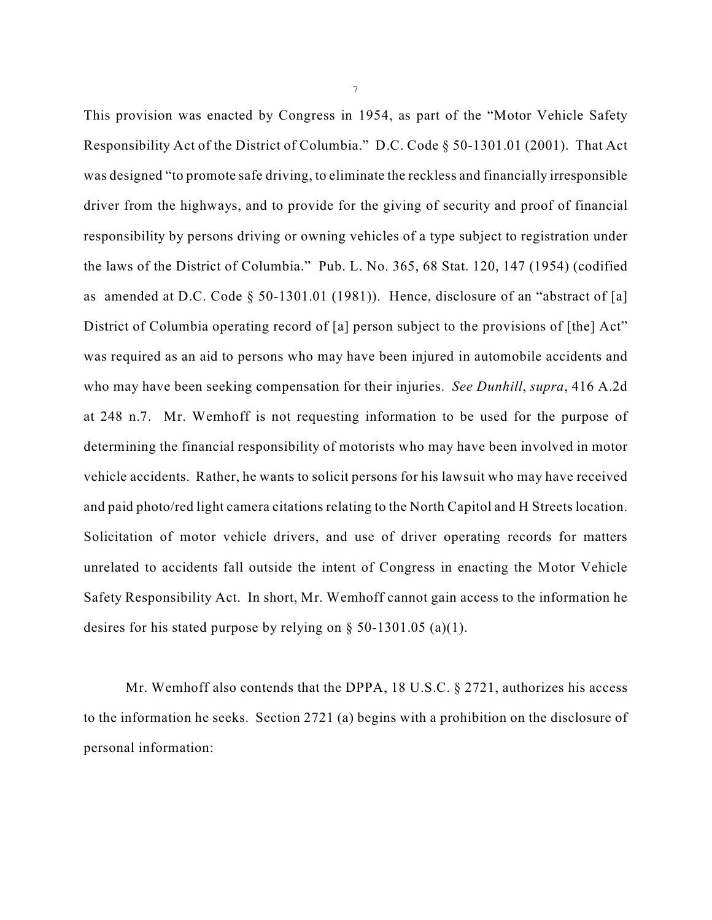This provision was enacted by Congress in 1954, as part of the "Motor Vehicle Safety Responsibility Act of the District of Columbia." D.C. Code § 50-1301.01 (2001). That Act was designed "to promote safe driving, to eliminate the reckless and financially irresponsible driver from the highways, and to provide for the giving of security and proof of financial responsibility by persons driving or owning vehicles of a type subject to registration under the laws of the District of Columbia." Pub. L. No. 365, 68 Stat. 120, 147 (1954) (codified as amended at D.C. Code § 50-1301.01 (1981)). Hence, disclosure of an "abstract of [a] District of Columbia operating record of [a] person subject to the provisions of [the] Act" was required as an aid to persons who may have been injured in automobile accidents and who may have been seeking compensation for their injuries. *See Dunhill*, *supra*, 416 A.2d at 248 n.7. Mr. Wemhoff is not requesting information to be used for the purpose of determining the financial responsibility of motorists who may have been involved in motor vehicle accidents. Rather, he wants to solicit persons for his lawsuit who may have received and paid photo/red light camera citations relating to the North Capitol and H Streets location. Solicitation of motor vehicle drivers, and use of driver operating records for matters unrelated to accidents fall outside the intent of Congress in enacting the Motor Vehicle Safety Responsibility Act. In short, Mr. Wemhoff cannot gain access to the information he desires for his stated purpose by relying on § 50-1301.05 (a)(1).

Mr. Wemhoff also contends that the DPPA, 18 U.S.C. § 2721, authorizes his access to the information he seeks. Section 2721 (a) begins with a prohibition on the disclosure of personal information: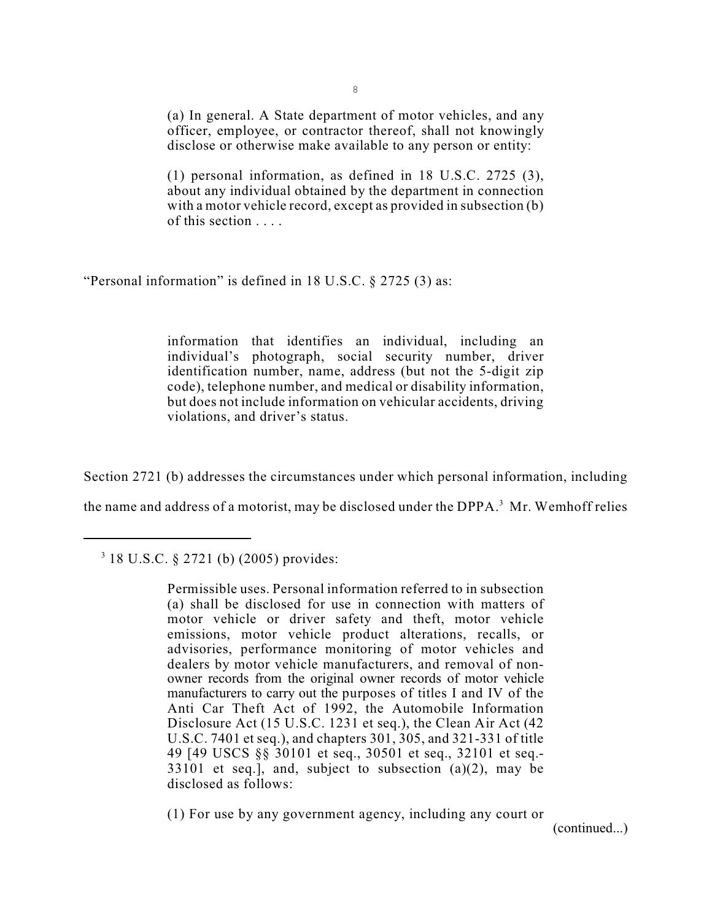(a) In general. A State department of motor vehicles, and any officer, employee, or contractor thereof, shall not knowingly disclose or otherwise make available to any person or entity:

(1) personal information, as defined in 18 U.S.C. 2725 (3), about any individual obtained by the department in connection with a motor vehicle record, except as provided in subsection (b) of this section . . . .

"Personal information" is defined in 18 U.S.C. § 2725 (3) as:

information that identifies an individual, including an individual's photograph, social security number, driver identification number, name, address (but not the 5-digit zip code), telephone number, and medical or disability information, but does not include information on vehicular accidents, driving violations, and driver's status.

Section 2721 (b) addresses the circumstances under which personal information, including

the name and address of a motorist, may be disclosed under the DPPA.<sup>3</sup> Mr. Wemhoff relies

 $318$  U.S.C. § 2721 (b) (2005) provides:

Permissible uses. Personal information referred to in subsection (a) shall be disclosed for use in connection with matters of motor vehicle or driver safety and theft, motor vehicle emissions, motor vehicle product alterations, recalls, or advisories, performance monitoring of motor vehicles and dealers by motor vehicle manufacturers, and removal of nonowner records from the original owner records of motor vehicle manufacturers to carry out the purposes of titles I and IV of the Anti Car Theft Act of 1992, the Automobile Information Disclosure Act (15 U.S.C. 1231 et seq.), the Clean Air Act (42 U.S.C. 7401 et seq.), and chapters 301, 305, and 321-331 of title 49 [49 USCS §§ 30101 et seq., 30501 et seq., 32101 et seq.-  $33101$  et seq.], and, subject to subsection  $(a)(2)$ , may be disclosed as follows:

(1) For use by any government agency, including any court or

(continued...)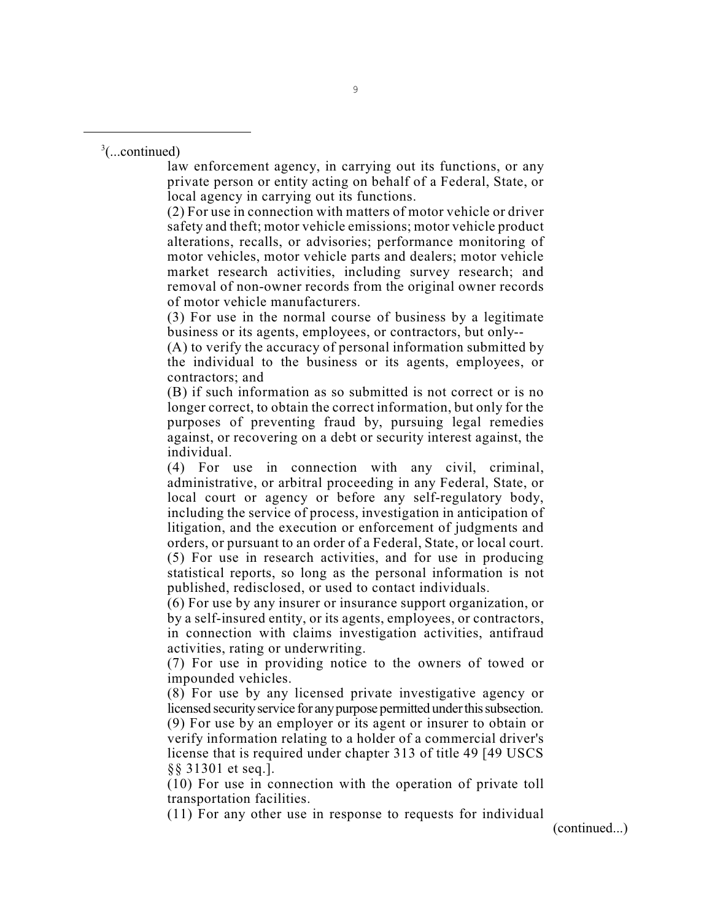$3$ (...continued)

law enforcement agency, in carrying out its functions, or any private person or entity acting on behalf of a Federal, State, or local agency in carrying out its functions.

(2) For use in connection with matters of motor vehicle or driver safety and theft; motor vehicle emissions; motor vehicle product alterations, recalls, or advisories; performance monitoring of motor vehicles, motor vehicle parts and dealers; motor vehicle market research activities, including survey research; and removal of non-owner records from the original owner records of motor vehicle manufacturers.

(3) For use in the normal course of business by a legitimate business or its agents, employees, or contractors, but only--

(A) to verify the accuracy of personal information submitted by the individual to the business or its agents, employees, or contractors; and

(B) if such information as so submitted is not correct or is no longer correct, to obtain the correct information, but only for the purposes of preventing fraud by, pursuing legal remedies against, or recovering on a debt or security interest against, the individual.

(4) For use in connection with any civil, criminal, administrative, or arbitral proceeding in any Federal, State, or local court or agency or before any self-regulatory body, including the service of process, investigation in anticipation of litigation, and the execution or enforcement of judgments and orders, or pursuant to an order of a Federal, State, or local court. (5) For use in research activities, and for use in producing statistical reports, so long as the personal information is not published, redisclosed, or used to contact individuals.

(6) For use by any insurer or insurance support organization, or by a self-insured entity, or its agents, employees, or contractors, in connection with claims investigation activities, antifraud activities, rating or underwriting.

(7) For use in providing notice to the owners of towed or impounded vehicles.

(8) For use by any licensed private investigative agency or licensed security service for any purpose permitted under this subsection. (9) For use by an employer or its agent or insurer to obtain or verify information relating to a holder of a commercial driver's license that is required under chapter 313 of title 49 [49 USCS §§ 31301 et seq.].

(10) For use in connection with the operation of private toll transportation facilities.

(11) For any other use in response to requests for individual

(continued...)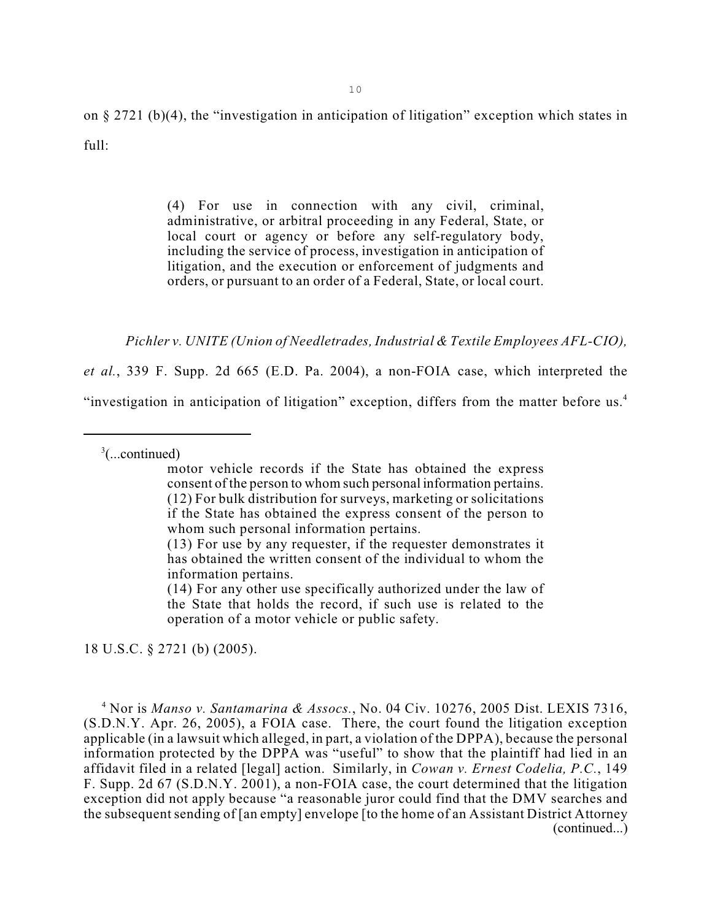on § 2721 (b)(4), the "investigation in anticipation of litigation" exception which states in  $ful!$ 

> (4) For use in connection with any civil, criminal, administrative, or arbitral proceeding in any Federal, State, or local court or agency or before any self-regulatory body, including the service of process, investigation in anticipation of litigation, and the execution or enforcement of judgments and orders, or pursuant to an order of a Federal, State, or local court.

*Pichler v. UNITE (Union of Needletrades, Industrial & Textile Employees AFL-CIO),*

*et al.*, 339 F. Supp. 2d 665 (E.D. Pa. 2004), a non-FOIA case, which interpreted the "investigation in anticipation of litigation" exception, differs from the matter before us.<sup>4</sup>

 $\frac{3}{2}$ (...continued)

motor vehicle records if the State has obtained the express consent of the person to whom such personal information pertains. (12) For bulk distribution for surveys, marketing or solicitations if the State has obtained the express consent of the person to whom such personal information pertains.

18 U.S.C. § 2721 (b) (2005).

<sup>4</sup> Nor is *Manso v. Santamarina & Assocs.*, No. 04 Civ. 10276, 2005 Dist. LEXIS 7316, (S.D.N.Y. Apr. 26, 2005), a FOIA case. There, the court found the litigation exception applicable (in a lawsuit which alleged, in part, a violation of the DPPA), because the personal information protected by the DPPA was "useful" to show that the plaintiff had lied in an affidavit filed in a related [legal] action. Similarly, in *Cowan v. Ernest Codelia, P.C.*, 149 F. Supp. 2d 67 (S.D.N.Y. 2001), a non-FOIA case, the court determined that the litigation exception did not apply because "a reasonable juror could find that the DMV searches and the subsequent sending of [an empty] envelope [to the home of an Assistant District Attorney (continued...)

<sup>(13)</sup> For use by any requester, if the requester demonstrates it has obtained the written consent of the individual to whom the information pertains.

<sup>(14)</sup> For any other use specifically authorized under the law of the State that holds the record, if such use is related to the operation of a motor vehicle or public safety.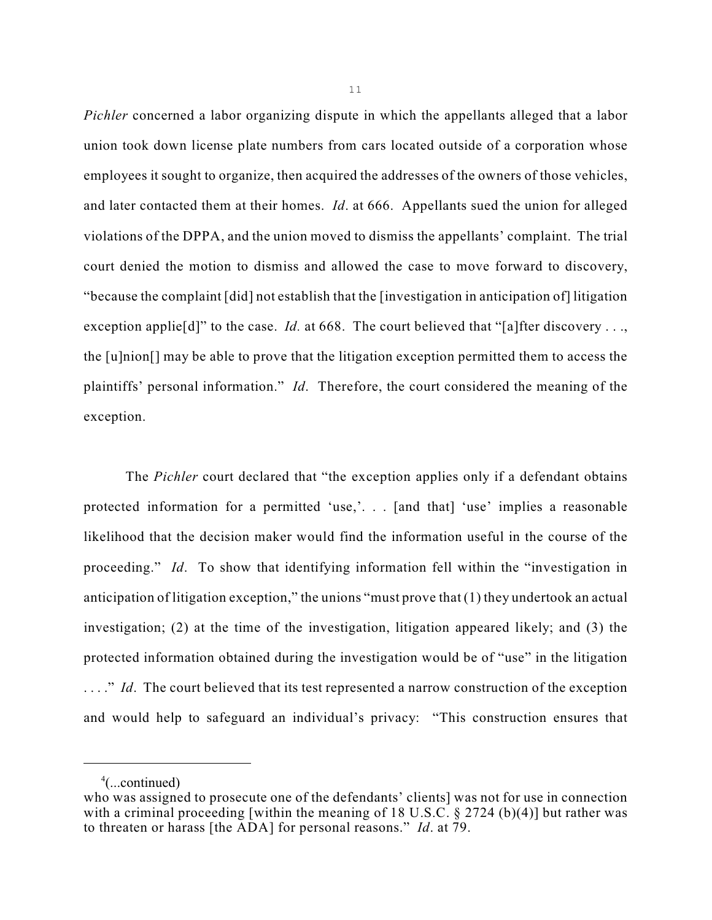*Pichler* concerned a labor organizing dispute in which the appellants alleged that a labor union took down license plate numbers from cars located outside of a corporation whose employees it sought to organize, then acquired the addresses of the owners of those vehicles, and later contacted them at their homes. *Id*. at 666. Appellants sued the union for alleged violations of the DPPA, and the union moved to dismiss the appellants' complaint. The trial court denied the motion to dismiss and allowed the case to move forward to discovery, "because the complaint [did] not establish that the [investigation in anticipation of] litigation exception applie<sup>[d]</sup>" to the case. *Id.* at 668. The court believed that "[a]fter discovery ..., the [u]nion[] may be able to prove that the litigation exception permitted them to access the plaintiffs' personal information." *Id*. Therefore, the court considered the meaning of the exception.

The *Pichler* court declared that "the exception applies only if a defendant obtains protected information for a permitted 'use,'. . . [and that] 'use' implies a reasonable likelihood that the decision maker would find the information useful in the course of the proceeding." *Id*. To show that identifying information fell within the "investigation in anticipation of litigation exception," the unions "must prove that (1) they undertook an actual investigation; (2) at the time of the investigation, litigation appeared likely; and (3) the protected information obtained during the investigation would be of "use" in the litigation ...." *Id.* The court believed that its test represented a narrow construction of the exception and would help to safeguard an individual's privacy: "This construction ensures that

 $^4$ (...continued)

who was assigned to prosecute one of the defendants' clients] was not for use in connection with a criminal proceeding [within the meaning of 18 U.S.C.  $\S 2724$  (b)(4)] but rather was to threaten or harass [the ADA] for personal reasons." *Id*. at 79.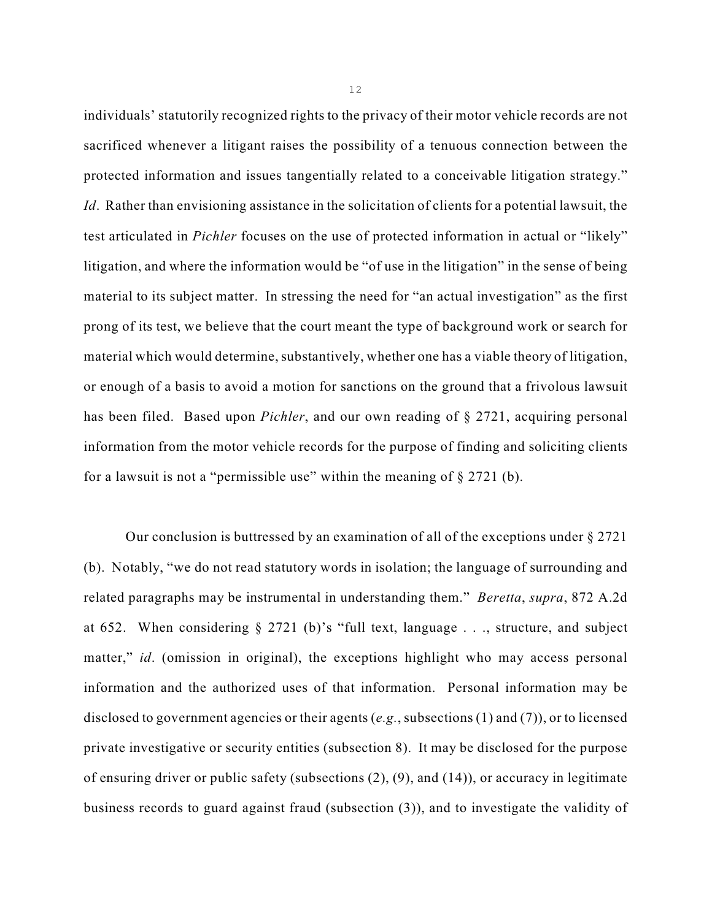individuals' statutorily recognized rights to the privacy of their motor vehicle records are not sacrificed whenever a litigant raises the possibility of a tenuous connection between the protected information and issues tangentially related to a conceivable litigation strategy." *Id.* Rather than envisioning assistance in the solicitation of clients for a potential lawsuit, the test articulated in *Pichler* focuses on the use of protected information in actual or "likely" litigation, and where the information would be "of use in the litigation" in the sense of being material to its subject matter. In stressing the need for "an actual investigation" as the first prong of its test, we believe that the court meant the type of background work or search for material which would determine, substantively, whether one has a viable theory of litigation, or enough of a basis to avoid a motion for sanctions on the ground that a frivolous lawsuit has been filed. Based upon *Pichler*, and our own reading of § 2721, acquiring personal information from the motor vehicle records for the purpose of finding and soliciting clients for a lawsuit is not a "permissible use" within the meaning of  $\S 2721$  (b).

Our conclusion is buttressed by an examination of all of the exceptions under  $\S 2721$ (b). Notably, "we do not read statutory words in isolation; the language of surrounding and related paragraphs may be instrumental in understanding them." *Beretta*, *supra*, 872 A.2d at 652. When considering § 2721 (b)'s "full text, language . . ., structure, and subject matter," *id.* (omission in original), the exceptions highlight who may access personal information and the authorized uses of that information. Personal information may be disclosed to government agencies or their agents (*e.g.*, subsections (1) and (7)), or to licensed private investigative or security entities (subsection 8). It may be disclosed for the purpose of ensuring driver or public safety (subsections (2), (9), and (14)), or accuracy in legitimate business records to guard against fraud (subsection (3)), and to investigate the validity of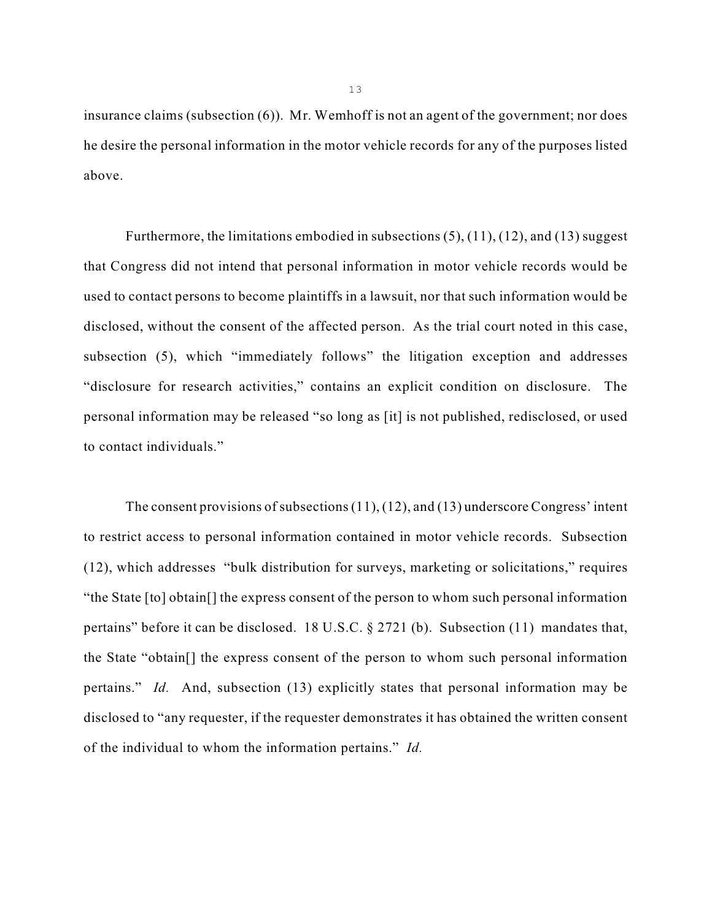insurance claims (subsection (6)). Mr. Wemhoff is not an agent of the government; nor does he desire the personal information in the motor vehicle records for any of the purposes listed above.

Furthermore, the limitations embodied in subsections (5), (11), (12), and (13) suggest that Congress did not intend that personal information in motor vehicle records would be used to contact persons to become plaintiffs in a lawsuit, nor that such information would be disclosed, without the consent of the affected person. As the trial court noted in this case, subsection (5), which "immediately follows" the litigation exception and addresses "disclosure for research activities," contains an explicit condition on disclosure. The personal information may be released "so long as [it] is not published, redisclosed, or used to contact individuals."

The consent provisions of subsections (11), (12), and (13) underscore Congress' intent to restrict access to personal information contained in motor vehicle records. Subsection (12), which addresses "bulk distribution for surveys, marketing or solicitations," requires "the State [to] obtain[] the express consent of the person to whom such personal information pertains" before it can be disclosed. 18 U.S.C. § 2721 (b). Subsection (11) mandates that, the State "obtain[] the express consent of the person to whom such personal information pertains." *Id.* And, subsection (13) explicitly states that personal information may be disclosed to "any requester, if the requester demonstrates it has obtained the written consent of the individual to whom the information pertains." *Id.*

13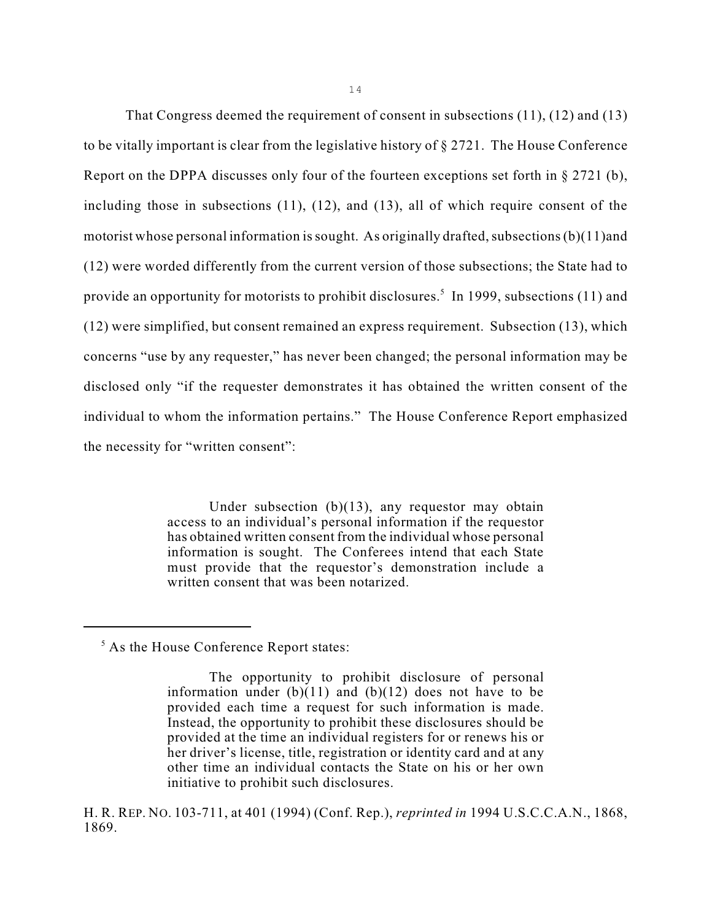That Congress deemed the requirement of consent in subsections (11), (12) and (13) to be vitally important is clear from the legislative history of § 2721. The House Conference Report on the DPPA discusses only four of the fourteen exceptions set forth in  $\S 2721$  (b), including those in subsections (11), (12), and (13), all of which require consent of the motorist whose personal information is sought. As originally drafted, subsections (b)(11)and (12) were worded differently from the current version of those subsections; the State had to provide an opportunity for motorists to prohibit disclosures.<sup>5</sup> In 1999, subsections (11) and (12) were simplified, but consent remained an express requirement. Subsection (13), which concerns "use by any requester," has never been changed; the personal information may be disclosed only "if the requester demonstrates it has obtained the written consent of the individual to whom the information pertains." The House Conference Report emphasized the necessity for "written consent":

> Under subsection (b)(13), any requestor may obtain access to an individual's personal information if the requestor has obtained written consent from the individual whose personal information is sought. The Conferees intend that each State must provide that the requestor's demonstration include a written consent that was been notarized.

 $<sup>5</sup>$  As the House Conference Report states:</sup>

The opportunity to prohibit disclosure of personal information under  $(b)(11)$  and  $(b)(12)$  does not have to be provided each time a request for such information is made. Instead, the opportunity to prohibit these disclosures should be provided at the time an individual registers for or renews his or her driver's license, title, registration or identity card and at any other time an individual contacts the State on his or her own initiative to prohibit such disclosures.

H. R. REP. NO. 103-711, at 401 (1994) (Conf. Rep.), *reprinted in* 1994 U.S.C.C.A.N., 1868, 1869.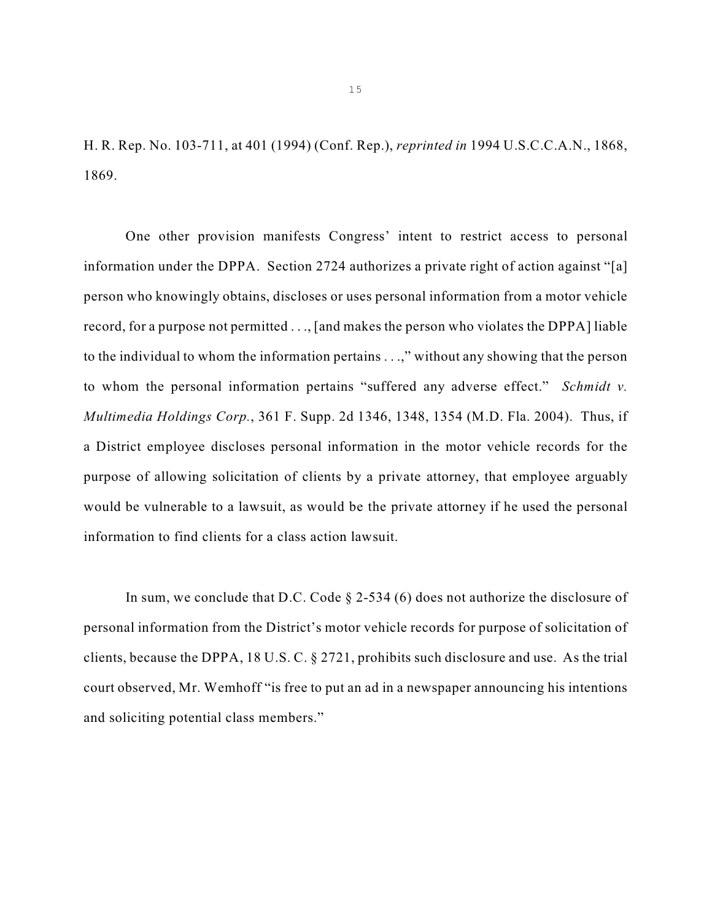H. R. Rep. No. 103-711, at 401 (1994) (Conf. Rep.), *reprinted in* 1994 U.S.C.C.A.N., 1868, 1869.

One other provision manifests Congress' intent to restrict access to personal information under the DPPA. Section 2724 authorizes a private right of action against "[a] person who knowingly obtains, discloses or uses personal information from a motor vehicle record, for a purpose not permitted . . ., [and makes the person who violates the DPPA] liable to the individual to whom the information pertains . . .," without any showing that the person to whom the personal information pertains "suffered any adverse effect." *Schmidt v. Multimedia Holdings Corp.*, 361 F. Supp. 2d 1346, 1348, 1354 (M.D. Fla. 2004). Thus, if a District employee discloses personal information in the motor vehicle records for the purpose of allowing solicitation of clients by a private attorney, that employee arguably would be vulnerable to a lawsuit, as would be the private attorney if he used the personal information to find clients for a class action lawsuit.

In sum, we conclude that D.C. Code  $\S 2-534$  (6) does not authorize the disclosure of personal information from the District's motor vehicle records for purpose of solicitation of clients, because the DPPA, 18 U.S. C. § 2721, prohibits such disclosure and use. As the trial court observed, Mr. Wemhoff "is free to put an ad in a newspaper announcing his intentions and soliciting potential class members."